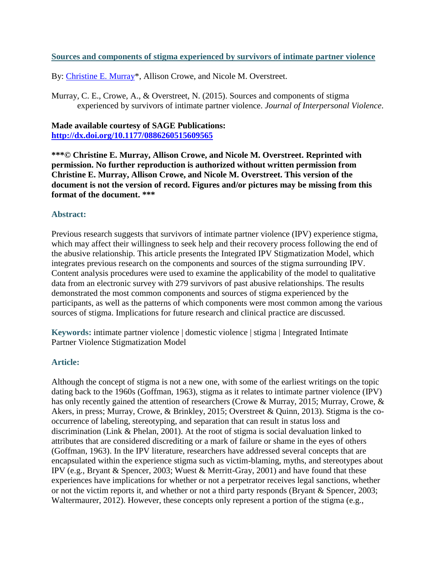# **Sources and components of stigma experienced by survivors of intimate partner violence**

By: [Christine E. Murray\\*](https://libres.uncg.edu/ir/uncg/clist.aspx?id=894), Allison Crowe, and Nicole M. Overstreet.

Murray, C. E., Crowe, A., & Overstreet, N. (2015). Sources and components of stigma experienced by survivors of intimate partner violence. *Journal of Interpersonal Violence*.

# **Made available courtesy of SAGE Publications: <http://dx.doi.org/10.1177/0886260515609565>**

**\*\*\*© Christine E. Murray, Allison Crowe, and Nicole M. Overstreet. Reprinted with permission. No further reproduction is authorized without written permission from Christine E. Murray, Allison Crowe, and Nicole M. Overstreet. This version of the document is not the version of record. Figures and/or pictures may be missing from this format of the document. \*\*\***

# **Abstract:**

Previous research suggests that survivors of intimate partner violence (IPV) experience stigma, which may affect their willingness to seek help and their recovery process following the end of the abusive relationship. This article presents the Integrated IPV Stigmatization Model, which integrates previous research on the components and sources of the stigma surrounding IPV. Content analysis procedures were used to examine the applicability of the model to qualitative data from an electronic survey with 279 survivors of past abusive relationships. The results demonstrated the most common components and sources of stigma experienced by the participants, as well as the patterns of which components were most common among the various sources of stigma. Implications for future research and clinical practice are discussed.

**Keywords:** intimate partner violence | domestic violence | stigma | Integrated Intimate Partner Violence Stigmatization Model

### **Article:**

Although the concept of stigma is not a new one, with some of the earliest writings on the topic dating back to the 1960s (Goffman, 1963), stigma as it relates to intimate partner violence (IPV) has only recently gained the attention of researchers (Crowe & Murray, 2015; Murray, Crowe, & Akers, in press; Murray, Crowe, & Brinkley, 2015; Overstreet & Quinn, 2013). Stigma is the cooccurrence of labeling, stereotyping, and separation that can result in status loss and discrimination (Link & Phelan, 2001). At the root of stigma is social devaluation linked to attributes that are considered discrediting or a mark of failure or shame in the eyes of others (Goffman, 1963). In the IPV literature, researchers have addressed several concepts that are encapsulated within the experience stigma such as victim-blaming, myths, and stereotypes about IPV (e.g., Bryant & Spencer, 2003; Wuest & Merritt-Gray, 2001) and have found that these experiences have implications for whether or not a perpetrator receives legal sanctions, whether or not the victim reports it, and whether or not a third party responds (Bryant & Spencer, 2003; Waltermaurer, 2012). However, these concepts only represent a portion of the stigma (e.g.,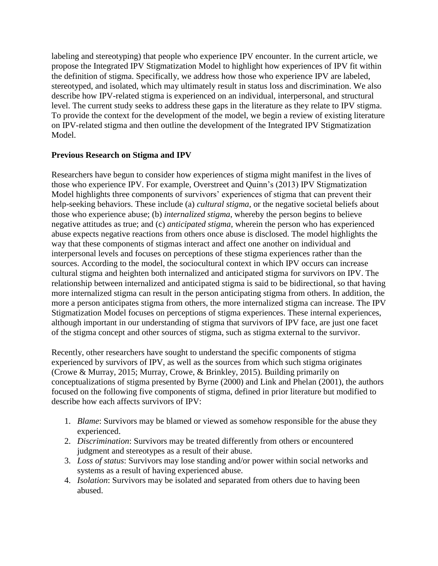labeling and stereotyping) that people who experience IPV encounter. In the current article, we propose the Integrated IPV Stigmatization Model to highlight how experiences of IPV fit within the definition of stigma. Specifically, we address how those who experience IPV are labeled, stereotyped, and isolated, which may ultimately result in status loss and discrimination. We also describe how IPV-related stigma is experienced on an individual, interpersonal, and structural level. The current study seeks to address these gaps in the literature as they relate to IPV stigma. To provide the context for the development of the model, we begin a review of existing literature on IPV-related stigma and then outline the development of the Integrated IPV Stigmatization Model.

# **Previous Research on Stigma and IPV**

Researchers have begun to consider how experiences of stigma might manifest in the lives of those who experience IPV. For example, Overstreet and Quinn's (2013) IPV Stigmatization Model highlights three components of survivors' experiences of stigma that can prevent their help-seeking behaviors. These include (a) *cultural stigma*, or the negative societal beliefs about those who experience abuse; (b) *internalized stigma*, whereby the person begins to believe negative attitudes as true; and (c) *anticipated stigma*, wherein the person who has experienced abuse expects negative reactions from others once abuse is disclosed. The model highlights the way that these components of stigmas interact and affect one another on individual and interpersonal levels and focuses on perceptions of these stigma experiences rather than the sources. According to the model, the sociocultural context in which IPV occurs can increase cultural stigma and heighten both internalized and anticipated stigma for survivors on IPV. The relationship between internalized and anticipated stigma is said to be bidirectional, so that having more internalized stigma can result in the person anticipating stigma from others. In addition, the more a person anticipates stigma from others, the more internalized stigma can increase. The IPV Stigmatization Model focuses on perceptions of stigma experiences. These internal experiences, although important in our understanding of stigma that survivors of IPV face, are just one facet of the stigma concept and other sources of stigma, such as stigma external to the survivor.

Recently, other researchers have sought to understand the specific components of stigma experienced by survivors of IPV, as well as the sources from which such stigma originates (Crowe & Murray, 2015; Murray, Crowe, & Brinkley, 2015). Building primarily on conceptualizations of stigma presented by Byrne (2000) and Link and Phelan (2001), the authors focused on the following five components of stigma, defined in prior literature but modified to describe how each affects survivors of IPV:

- 1. *Blame*: Survivors may be blamed or viewed as somehow responsible for the abuse they experienced.
- 2. *Discrimination*: Survivors may be treated differently from others or encountered judgment and stereotypes as a result of their abuse.
- 3. *Loss of status*: Survivors may lose standing and/or power within social networks and systems as a result of having experienced abuse.
- 4. *Isolation*: Survivors may be isolated and separated from others due to having been abused.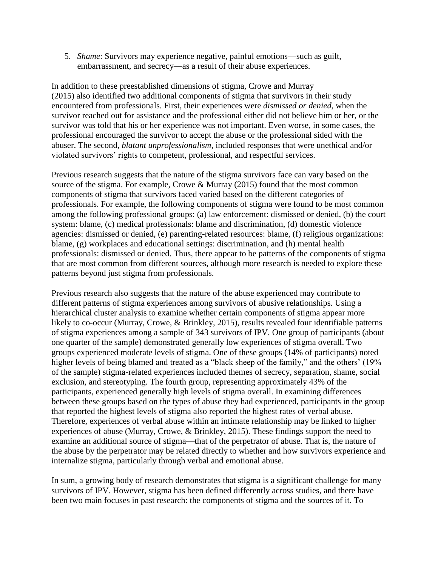5. *Shame*: Survivors may experience negative, painful emotions—such as guilt, embarrassment, and secrecy—as a result of their abuse experiences.

In addition to these preestablished dimensions of stigma, Crowe and Murray (2015) also identified two additional components of stigma that survivors in their study encountered from professionals. First, their experiences were *dismissed or denied*, when the survivor reached out for assistance and the professional either did not believe him or her, or the survivor was told that his or her experience was not important. Even worse, in some cases, the professional encouraged the survivor to accept the abuse or the professional sided with the abuser. The second, *blatant unprofessionalism*, included responses that were unethical and/or violated survivors' rights to competent, professional, and respectful services.

Previous research suggests that the nature of the stigma survivors face can vary based on the source of the stigma. For example, Crowe & Murray (2015) found that the most common components of stigma that survivors faced varied based on the different categories of professionals. For example, the following components of stigma were found to be most common among the following professional groups: (a) law enforcement: dismissed or denied, (b) the court system: blame, (c) medical professionals: blame and discrimination, (d) domestic violence agencies: dismissed or denied, (e) parenting-related resources: blame, (f) religious organizations: blame, (g) workplaces and educational settings: discrimination, and (h) mental health professionals: dismissed or denied. Thus, there appear to be patterns of the components of stigma that are most common from different sources, although more research is needed to explore these patterns beyond just stigma from professionals.

Previous research also suggests that the nature of the abuse experienced may contribute to different patterns of stigma experiences among survivors of abusive relationships. Using a hierarchical cluster analysis to examine whether certain components of stigma appear more likely to co-occur (Murray, Crowe, & Brinkley, 2015), results revealed four identifiable patterns of stigma experiences among a sample of 343 survivors of IPV. One group of participants (about one quarter of the sample) demonstrated generally low experiences of stigma overall. Two groups experienced moderate levels of stigma. One of these groups (14% of participants) noted higher levels of being blamed and treated as a "black sheep of the family," and the others' (19%) of the sample) stigma-related experiences included themes of secrecy, separation, shame, social exclusion, and stereotyping. The fourth group, representing approximately 43% of the participants, experienced generally high levels of stigma overall. In examining differences between these groups based on the types of abuse they had experienced, participants in the group that reported the highest levels of stigma also reported the highest rates of verbal abuse. Therefore, experiences of verbal abuse within an intimate relationship may be linked to higher experiences of abuse (Murray, Crowe, & Brinkley, 2015). These findings support the need to examine an additional source of stigma—that of the perpetrator of abuse. That is, the nature of the abuse by the perpetrator may be related directly to whether and how survivors experience and internalize stigma, particularly through verbal and emotional abuse.

In sum, a growing body of research demonstrates that stigma is a significant challenge for many survivors of IPV. However, stigma has been defined differently across studies, and there have been two main focuses in past research: the components of stigma and the sources of it. To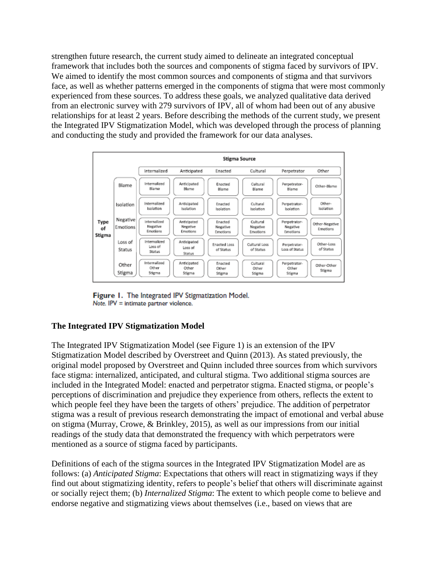strengthen future research, the current study aimed to delineate an integrated conceptual framework that includes both the sources and components of stigma faced by survivors of IPV. We aimed to identify the most common sources and components of stigma and that survivors face, as well as whether patterns emerged in the components of stigma that were most commonly experienced from these sources. To address these goals, we analyzed qualitative data derived from an electronic survey with 279 survivors of IPV, all of whom had been out of any abusive relationships for at least 2 years. Before describing the methods of the current study, we present the Integrated IPV Stigmatization Model, which was developed through the process of planning and conducting the study and provided the framework for our data analyses.



Figure 1. The Integrated IPV Stigmatization Model. Note. IPV = intimate partner violence.

# **The Integrated IPV Stigmatization Model**

The Integrated IPV Stigmatization Model (see Figure 1) is an extension of the IPV Stigmatization Model described by Overstreet and Quinn (2013). As stated previously, the original model proposed by Overstreet and Quinn included three sources from which survivors face stigma: internalized, anticipated, and cultural stigma. Two additional stigma sources are included in the Integrated Model: enacted and perpetrator stigma. Enacted stigma, or people's perceptions of discrimination and prejudice they experience from others, reflects the extent to which people feel they have been the targets of others' prejudice. The addition of perpetrator stigma was a result of previous research demonstrating the impact of emotional and verbal abuse on stigma (Murray, Crowe, & Brinkley, 2015), as well as our impressions from our initial readings of the study data that demonstrated the frequency with which perpetrators were mentioned as a source of stigma faced by participants.

Definitions of each of the stigma sources in the Integrated IPV Stigmatization Model are as follows: (a) *Anticipated Stigma*: Expectations that others will react in stigmatizing ways if they find out about stigmatizing identity, refers to people's belief that others will discriminate against or socially reject them; (b) *Internalized Stigma*: The extent to which people come to believe and endorse negative and stigmatizing views about themselves (i.e., based on views that are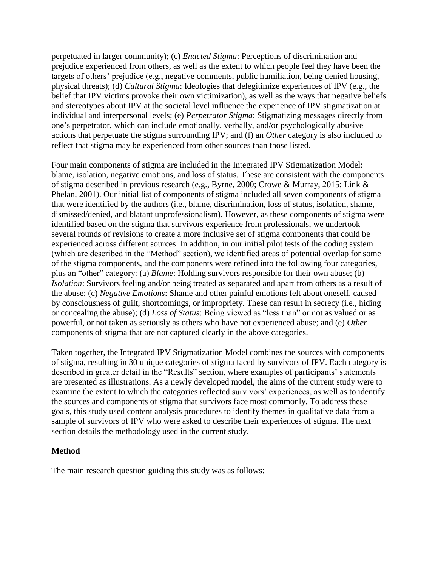perpetuated in larger community); (c) *Enacted Stigma*: Perceptions of discrimination and prejudice experienced from others, as well as the extent to which people feel they have been the targets of others' prejudice (e.g., negative comments, public humiliation, being denied housing, physical threats); (d) *Cultural Stigma*: Ideologies that delegitimize experiences of IPV (e.g., the belief that IPV victims provoke their own victimization), as well as the ways that negative beliefs and stereotypes about IPV at the societal level influence the experience of IPV stigmatization at individual and interpersonal levels; (e) *Perpetrator Stigma*: Stigmatizing messages directly from one's perpetrator, which can include emotionally, verbally, and/or psychologically abusive actions that perpetuate the stigma surrounding IPV; and (f) an *Other* category is also included to reflect that stigma may be experienced from other sources than those listed.

Four main components of stigma are included in the Integrated IPV Stigmatization Model: blame, isolation, negative emotions, and loss of status. These are consistent with the components of stigma described in previous research (e.g., Byrne, 2000; Crowe & Murray, 2015; Link & Phelan, 2001). Our initial list of components of stigma included all seven components of stigma that were identified by the authors (i.e., blame, discrimination, loss of status, isolation, shame, dismissed/denied, and blatant unprofessionalism). However, as these components of stigma were identified based on the stigma that survivors experience from professionals, we undertook several rounds of revisions to create a more inclusive set of stigma components that could be experienced across different sources. In addition, in our initial pilot tests of the coding system (which are described in the "Method" section), we identified areas of potential overlap for some of the stigma components, and the components were refined into the following four categories, plus an "other" category: (a) *Blame*: Holding survivors responsible for their own abuse; (b) *Isolation*: Survivors feeling and/or being treated as separated and apart from others as a result of the abuse; (c) *Negative Emotions*: Shame and other painful emotions felt about oneself, caused by consciousness of guilt, shortcomings, or impropriety. These can result in secrecy (i.e., hiding or concealing the abuse); (d) *Loss of Status*: Being viewed as "less than" or not as valued or as powerful, or not taken as seriously as others who have not experienced abuse; and (e) *Other*  components of stigma that are not captured clearly in the above categories.

Taken together, the Integrated IPV Stigmatization Model combines the sources with components of stigma, resulting in 30 unique categories of stigma faced by survivors of IPV. Each category is described in greater detail in the "Results" section, where examples of participants' statements are presented as illustrations. As a newly developed model, the aims of the current study were to examine the extent to which the categories reflected survivors' experiences, as well as to identify the sources and components of stigma that survivors face most commonly. To address these goals, this study used content analysis procedures to identify themes in qualitative data from a sample of survivors of IPV who were asked to describe their experiences of stigma. The next section details the methodology used in the current study.

# **Method**

The main research question guiding this study was as follows: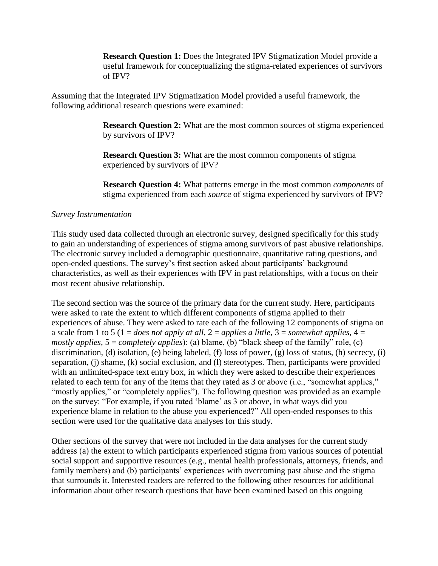**Research Question 1:** Does the Integrated IPV Stigmatization Model provide a useful framework for conceptualizing the stigma-related experiences of survivors of IPV?

Assuming that the Integrated IPV Stigmatization Model provided a useful framework, the following additional research questions were examined:

> **Research Question 2:** What are the most common sources of stigma experienced by survivors of IPV?

**Research Question 3:** What are the most common components of stigma experienced by survivors of IPV?

**Research Question 4:** What patterns emerge in the most common *components* of stigma experienced from each *source* of stigma experienced by survivors of IPV?

# *Survey Instrumentation*

This study used data collected through an electronic survey, designed specifically for this study to gain an understanding of experiences of stigma among survivors of past abusive relationships. The electronic survey included a demographic questionnaire, quantitative rating questions, and open-ended questions. The survey's first section asked about participants' background characteristics, as well as their experiences with IPV in past relationships, with a focus on their most recent abusive relationship.

The second section was the source of the primary data for the current study. Here, participants were asked to rate the extent to which different components of stigma applied to their experiences of abuse. They were asked to rate each of the following 12 components of stigma on a scale from 1 to 5 (1 = *does not apply at all*,  $2 =$  *applies a little*,  $3 =$  *somewhat applies*,  $4 =$ *mostly applies*, 5 = *completely applies*): (a) blame, (b) "black sheep of the family" role, (c) discrimination, (d) isolation, (e) being labeled, (f) loss of power, (g) loss of status, (h) secrecy, (i) separation, (j) shame, (k) social exclusion, and (l) stereotypes. Then, participants were provided with an unlimited-space text entry box, in which they were asked to describe their experiences related to each term for any of the items that they rated as 3 or above (i.e., "somewhat applies," "mostly applies," or "completely applies"). The following question was provided as an example on the survey: "For example, if you rated 'blame' as 3 or above, in what ways did you experience blame in relation to the abuse you experienced?" All open-ended responses to this section were used for the qualitative data analyses for this study.

Other sections of the survey that were not included in the data analyses for the current study address (a) the extent to which participants experienced stigma from various sources of potential social support and supportive resources (e.g., mental health professionals, attorneys, friends, and family members) and (b) participants' experiences with overcoming past abuse and the stigma that surrounds it. Interested readers are referred to the following other resources for additional information about other research questions that have been examined based on this ongoing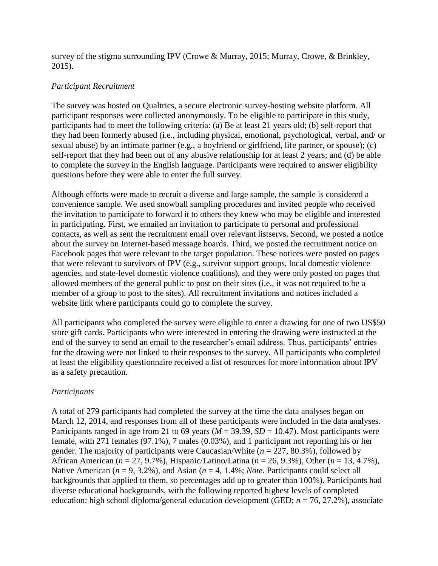survey of the stigma surrounding IPV (Crowe & Murray, 2015; Murray, Crowe, & Brinkley, 2015).

# *Participant Recruitment*

The survey was hosted on Qualtrics, a secure electronic survey-hosting website platform. All participant responses were collected anonymously. To be eligible to participate in this study, participants had to meet the following criteria: (a) Be at least 21 years old; (b) self-report that they had been formerly abused (i.e., including physical, emotional, psychological, verbal, and/ or sexual abuse) by an intimate partner (e.g., a boyfriend or girlfriend, life partner, or spouse); (c) self-report that they had been out of any abusive relationship for at least 2 years; and (d) be able to complete the survey in the English language. Participants were required to answer eligibility questions before they were able to enter the full survey.

Although efforts were made to recruit a diverse and large sample, the sample is considered a convenience sample. We used snowball sampling procedures and invited people who received the invitation to participate to forward it to others they knew who may be eligible and interested in participating. First, we emailed an invitation to participate to personal and professional contacts, as well as sent the recruitment email over relevant listservs. Second, we posted a notice about the survey on Internet-based message boards. Third, we posted the recruitment notice on Facebook pages that were relevant to the target population. These notices were posted on pages that were relevant to survivors of IPV (e.g., survivor support groups, local domestic violence agencies, and state-level domestic violence coalitions), and they were only posted on pages that allowed members of the general public to post on their sites (i.e., it was not required to be a member of a group to post to the sites). All recruitment invitations and notices included a website link where participants could go to complete the survey.

All participants who completed the survey were eligible to enter a drawing for one of two US\$50 store gift cards. Participants who were interested in entering the drawing were instructed at the end of the survey to send an email to the researcher's email address. Thus, participants' entries for the drawing were not linked to their responses to the survey. All participants who completed at least the eligibility questionnaire received a list of resources for more information about IPV as a safety precaution.

# *Participants*

A total of 279 participants had completed the survey at the time the data analyses began on March 12, 2014, and responses from all of these participants were included in the data analyses. Participants ranged in age from 21 to 69 years ( $M = 39.39$ ,  $SD = 10.47$ ). Most participants were female, with 271 females (97.1%), 7 males (0.03%), and 1 participant not reporting his or her gender. The majority of participants were Caucasian/White (*n* = 227, 80.3%), followed by African American (*n* = 27, 9.7%), Hispanic/Latino/Latina (*n* = 26, 9.3%), Other (*n* = 13, 4.7%), Native American ( $n = 9, 3.2\%$ ), and Asian ( $n = 4, 1.4\%$ ; *Note.* Participants could select all backgrounds that applied to them, so percentages add up to greater than 100%). Participants had diverse educational backgrounds, with the following reported highest levels of completed education: high school diploma/general education development (GED; *n* = 76, 27.2%), associate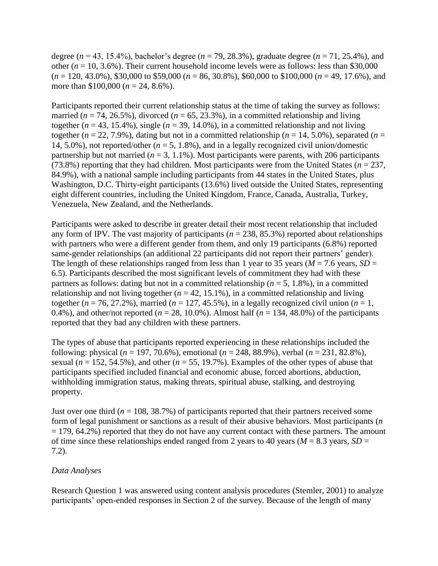degree (*n* = 43, 15.4%), bachelor's degree (*n* = 79, 28.3%), graduate degree (*n* = 71, 25.4%), and other ( $n = 10, 3.6\%$ ). Their current household income levels were as follows: less than \$30,000 (*n* = 120, 43.0%), \$30,000 to \$59,000 (*n* = 86, 30.8%), \$60,000 to \$100,000 (*n* = 49, 17.6%), and more than \$100,000 (*n* = 24, 8.6%).

Participants reported their current relationship status at the time of taking the survey as follows: married ( $n = 74$ , 26.5%), divorced ( $n = 65$ , 23.3%), in a committed relationship and living together ( $n = 43, 15.4\%$ ), single ( $n = 39, 14.0\%$ ), in a committed relationship and not living together ( $n = 22, 7.9\%$ ), dating but not in a committed relationship ( $n = 14, 5.0\%$ ), separated ( $n =$ 14, 5.0%), not reported/other ( $n = 5$ , 1.8%), and in a legally recognized civil union/domestic partnership but not married ( $n = 3, 1.1\%$ ). Most participants were parents, with 206 participants (73.8%) reporting that they had children. Most participants were from the United States ( $n = 237$ , 84.9%), with a national sample including participants from 44 states in the United States, plus Washington, D.C. Thirty-eight participants (13.6%) lived outside the United States, representing eight different countries, including the United Kingdom, France, Canada, Australia, Turkey, Venezuela, New Zealand, and the Netherlands.

Participants were asked to describe in greater detail their most recent relationship that included any form of IPV. The vast majority of participants ( $n = 238, 85.3\%$ ) reported about relationships with partners who were a different gender from them, and only 19 participants (6.8%) reported same-gender relationships (an additional 22 participants did not report their partners' gender). The length of these relationships ranged from less than 1 year to 35 years ( $M = 7.6$  years,  $SD =$ 6.5). Participants described the most significant levels of commitment they had with these partners as follows: dating but not in a committed relationship (*n* = 5, 1.8%), in a committed relationship and not living together  $(n = 42, 15.1\%)$ , in a committed relationship and living together ( $n = 76, 27.2\%$ ), married ( $n = 127, 45.5\%$ ), in a legally recognized civil union ( $n = 1$ , 0.4%), and other/not reported ( $n = 28$ , 10.0%). Almost half ( $n = 134$ , 48.0%) of the participants reported that they had any children with these partners.

The types of abuse that participants reported experiencing in these relationships included the following: physical (*n* = 197, 70.6%), emotional (*n* = 248, 88.9%), verbal (*n* = 231, 82.8%), sexual ( $n = 152$ , 54.5%), and other ( $n = 55$ , 19.7%). Examples of the other types of abuse that participants specified included financial and economic abuse, forced abortions, abduction, withholding immigration status, making threats, spiritual abuse, stalking, and destroying property.

Just over one third ( $n = 108, 38.7\%$ ) of participants reported that their partners received some form of legal punishment or sanctions as a result of their abusive behaviors. Most participants (*n*   $= 179, 64.2\%$ ) reported that they do not have any current contact with these partners. The amount of time since these relationships ended ranged from 2 years to 40 years ( $M = 8.3$  years,  $SD =$ 7.2).

### *Data Analyses*

Research Question 1 was answered using content analysis procedures (Stemler, 2001) to analyze participants' open-ended responses in Section 2 of the survey. Because of the length of many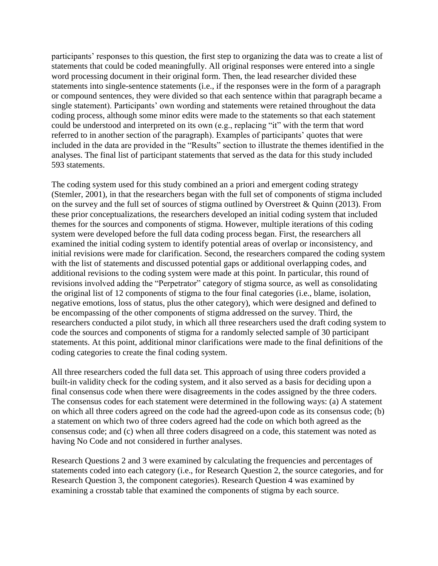participants' responses to this question, the first step to organizing the data was to create a list of statements that could be coded meaningfully. All original responses were entered into a single word processing document in their original form. Then, the lead researcher divided these statements into single-sentence statements (i.e., if the responses were in the form of a paragraph or compound sentences, they were divided so that each sentence within that paragraph became a single statement). Participants' own wording and statements were retained throughout the data coding process, although some minor edits were made to the statements so that each statement could be understood and interpreted on its own (e.g., replacing "it" with the term that word referred to in another section of the paragraph). Examples of participants' quotes that were included in the data are provided in the "Results" section to illustrate the themes identified in the analyses. The final list of participant statements that served as the data for this study included 593 statements.

The coding system used for this study combined an a priori and emergent coding strategy (Stemler, 2001), in that the researchers began with the full set of components of stigma included on the survey and the full set of sources of stigma outlined by Overstreet & Quinn (2013). From these prior conceptualizations, the researchers developed an initial coding system that included themes for the sources and components of stigma. However, multiple iterations of this coding system were developed before the full data coding process began. First, the researchers all examined the initial coding system to identify potential areas of overlap or inconsistency, and initial revisions were made for clarification. Second, the researchers compared the coding system with the list of statements and discussed potential gaps or additional overlapping codes, and additional revisions to the coding system were made at this point. In particular, this round of revisions involved adding the "Perpetrator" category of stigma source, as well as consolidating the original list of 12 components of stigma to the four final categories (i.e., blame, isolation, negative emotions, loss of status, plus the other category), which were designed and defined to be encompassing of the other components of stigma addressed on the survey. Third, the researchers conducted a pilot study, in which all three researchers used the draft coding system to code the sources and components of stigma for a randomly selected sample of 30 participant statements. At this point, additional minor clarifications were made to the final definitions of the coding categories to create the final coding system.

All three researchers coded the full data set. This approach of using three coders provided a built-in validity check for the coding system, and it also served as a basis for deciding upon a final consensus code when there were disagreements in the codes assigned by the three coders. The consensus codes for each statement were determined in the following ways: (a) A statement on which all three coders agreed on the code had the agreed-upon code as its consensus code; (b) a statement on which two of three coders agreed had the code on which both agreed as the consensus code; and (c) when all three coders disagreed on a code, this statement was noted as having No Code and not considered in further analyses.

Research Questions 2 and 3 were examined by calculating the frequencies and percentages of statements coded into each category (i.e., for Research Question 2, the source categories, and for Research Question 3, the component categories). Research Question 4 was examined by examining a crosstab table that examined the components of stigma by each source.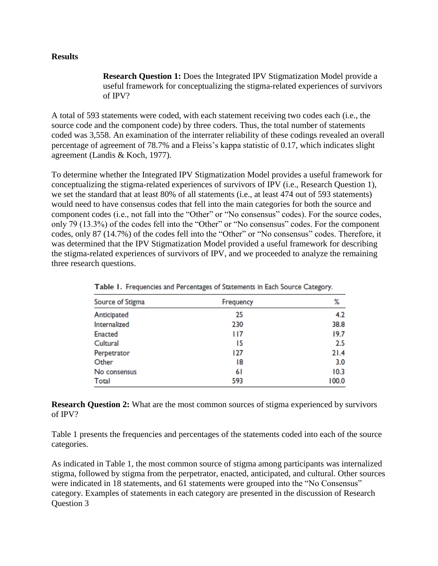#### **Results**

**Research Question 1:** Does the Integrated IPV Stigmatization Model provide a useful framework for conceptualizing the stigma-related experiences of survivors of IPV?

A total of 593 statements were coded, with each statement receiving two codes each (i.e., the source code and the component code) by three coders. Thus, the total number of statements coded was 3,558. An examination of the interrater reliability of these codings revealed an overall percentage of agreement of 78.7% and a Fleiss's kappa statistic of 0.17, which indicates slight agreement (Landis & Koch, 1977).

To determine whether the Integrated IPV Stigmatization Model provides a useful framework for conceptualizing the stigma-related experiences of survivors of IPV (i.e., Research Question 1), we set the standard that at least 80% of all statements (i.e., at least 474 out of 593 statements) would need to have consensus codes that fell into the main categories for both the source and component codes (i.e., not fall into the "Other" or "No consensus" codes). For the source codes, only 79 (13.3%) of the codes fell into the "Other" or "No consensus" codes. For the component codes, only 87 (14.7%) of the codes fell into the "Other" or "No consensus" codes. Therefore, it was determined that the IPV Stigmatization Model provided a useful framework for describing the stigma-related experiences of survivors of IPV, and we proceeded to analyze the remaining three research questions.

| Source of Stigma | Frequency | ℅     |
|------------------|-----------|-------|
| Anticipated      | 25        | 4.2   |
| Internalized     | 230       | 38.8  |
| <b>Enacted</b>   | 117       | 19.7  |
| Cultural         | 15        | 2.5   |
| Perpetrator      | 127       | 21.4  |
| Other            | 18        | 3.0   |
| No consensus     | 61        | 10.3  |
| Total            | 593       | 100.0 |

Table 1. Frequencies and Percentages of Statements in Each Source Category.

**Research Question 2:** What are the most common sources of stigma experienced by survivors of IPV?

Table 1 presents the frequencies and percentages of the statements coded into each of the source categories.

As indicated in Table 1, the most common source of stigma among participants was internalized stigma, followed by stigma from the perpetrator, enacted, anticipated, and cultural. Other sources were indicated in 18 statements, and 61 statements were grouped into the "No Consensus" category. Examples of statements in each category are presented in the discussion of Research Question 3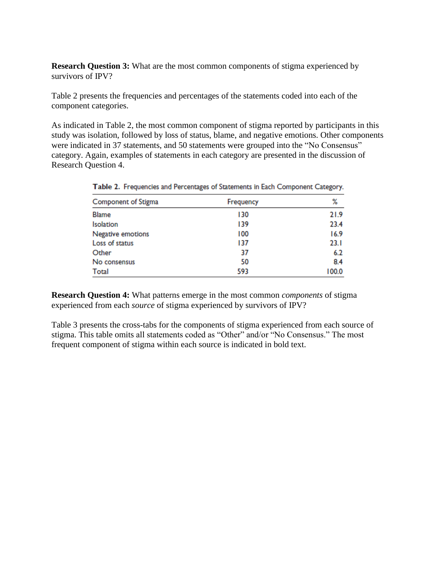**Research Question 3:** What are the most common components of stigma experienced by survivors of IPV?

Table 2 presents the frequencies and percentages of the statements coded into each of the component categories.

As indicated in Table 2, the most common component of stigma reported by participants in this study was isolation, followed by loss of status, blame, and negative emotions. Other components were indicated in 37 statements, and 50 statements were grouped into the "No Consensus" category. Again, examples of statements in each category are presented in the discussion of Research Question 4.

| Component of Stigma | Frequency | %     |
|---------------------|-----------|-------|
| <b>Blame</b>        | 130       | 21.9  |
| Isolation           | 139       | 23.4  |
| Negative emotions   | 100       | 16.9  |
| Loss of status      | 137       | 23.1  |
| Other               | 37        | 6.2   |
| No consensus        | 50        | 8.4   |
| Total               | 593       | 100.0 |

Table 2. Frequencies and Percentages of Statements in Each Component Category.

**Research Question 4:** What patterns emerge in the most common *components* of stigma experienced from each *source* of stigma experienced by survivors of IPV?

Table 3 presents the cross-tabs for the components of stigma experienced from each source of stigma. This table omits all statements coded as "Other" and/or "No Consensus." The most frequent component of stigma within each source is indicated in bold text.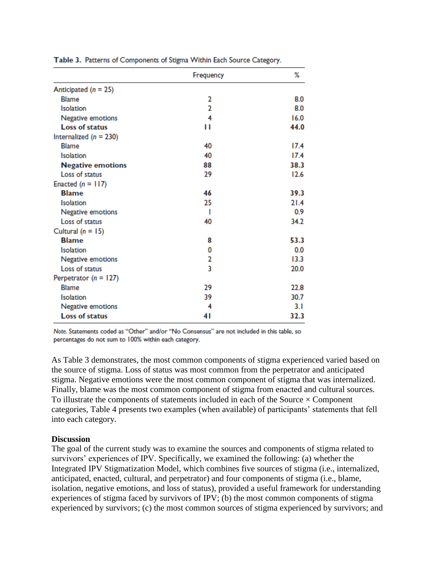|                           | Frequency      | ℅    |
|---------------------------|----------------|------|
| Anticipated $(n = 25)$    |                |      |
| <b>Blame</b>              | 2              | 8.0  |
| Isolation                 | $\overline{2}$ | 8.0  |
| Negative emotions         | 4              | 16.0 |
| <b>Loss of status</b>     | П              | 44.0 |
| Internalized $(n = 230)$  |                |      |
| <b>Blame</b>              | 40             | 17.4 |
| Isolation                 | 40             | 17.4 |
| <b>Negative emotions</b>  | 88             | 38.3 |
| Loss of status            | 29             | 12.6 |
| Enacted $(n = 117)$       |                |      |
| <b>Blame</b>              | 46             | 39.3 |
| <b>Isolation</b>          | 25             | 21.4 |
| Negative emotions         | ı              | 0.9  |
| Loss of status            | 40             | 34.2 |
| Cultural $(n = 15)$       |                |      |
| <b>Blame</b>              | 8              | 53.3 |
| <b>Isolation</b>          | 0              | 0.0  |
| Negative emotions         | 2              | 13.3 |
| Loss of status            | 3              | 20.0 |
| Perpetrator ( $n = 127$ ) |                |      |
| <b>Blame</b>              | 29             | 22.8 |
| <b>Isolation</b>          | 39             | 30.7 |
| Negative emotions         | 4              | 3.I  |
| <b>Loss of status</b>     | 41             | 32.3 |

Table 3. Patterns of Components of Stigma Within Each Source Category.

Note. Statements coded as "Other" and/or "No Consensus" are not included in this table, so percentages do not sum to 100% within each category.

As Table 3 demonstrates, the most common components of stigma experienced varied based on the source of stigma. Loss of status was most common from the perpetrator and anticipated stigma. Negative emotions were the most common component of stigma that was internalized. Finally, blame was the most common component of stigma from enacted and cultural sources. To illustrate the components of statements included in each of the Source  $\times$  Component categories, Table 4 presents two examples (when available) of participants' statements that fell into each category.

#### **Discussion**

The goal of the current study was to examine the sources and components of stigma related to survivors' experiences of IPV. Specifically, we examined the following: (a) whether the Integrated IPV Stigmatization Model, which combines five sources of stigma (i.e., internalized, anticipated, enacted, cultural, and perpetrator) and four components of stigma (i.e., blame, isolation, negative emotions, and loss of status), provided a useful framework for understanding experiences of stigma faced by survivors of IPV; (b) the most common components of stigma experienced by survivors; (c) the most common sources of stigma experienced by survivors; and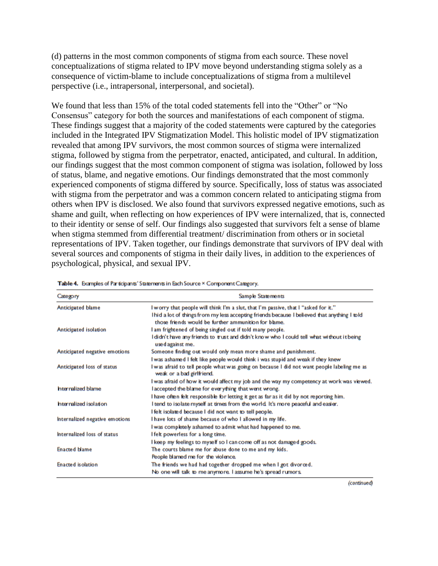(d) patterns in the most common components of stigma from each source. These novel conceptualizations of stigma related to IPV move beyond understanding stigma solely as a consequence of victim-blame to include conceptualizations of stigma from a multilevel perspective (i.e., intrapersonal, interpersonal, and societal).

We found that less than 15% of the total coded statements fell into the "Other" or "No Consensus" category for both the sources and manifestations of each component of stigma. These findings suggest that a majority of the coded statements were captured by the categories included in the Integrated IPV Stigmatization Model. This holistic model of IPV stigmatization revealed that among IPV survivors, the most common sources of stigma were internalized stigma, followed by stigma from the perpetrator, enacted, anticipated, and cultural. In addition, our findings suggest that the most common component of stigma was isolation, followed by loss of status, blame, and negative emotions. Our findings demonstrated that the most commonly experienced components of stigma differed by source. Specifically, loss of status was associated with stigma from the perpetrator and was a common concern related to anticipating stigma from others when IPV is disclosed. We also found that survivors expressed negative emotions, such as shame and guilt, when reflecting on how experiences of IPV were internalized, that is, connected to their identity or sense of self. Our findings also suggested that survivors felt a sense of blame when stigma stemmed from differential treatment/ discrimination from others or in societal representations of IPV. Taken together, our findings demonstrate that survivors of IPV deal with several sources and components of stigma in their daily lives, in addition to the experiences of psychological, physical, and sexual IPV.

| Category                       | Sample Statements                                                                                                                                   |
|--------------------------------|-----------------------------------------------------------------------------------------------------------------------------------------------------|
| Anticipated blame              | I worry that people will think I'm a slut, that I'm passive, that I "asked for it."                                                                 |
|                                | Thid a lot of things from my less accepting friends because I believed that anything I told<br>those friends would be further ammunition for blame. |
| Anticipated isolation          | I am frightened of being singled out if told many people.                                                                                           |
|                                | l didn't have any friends to trust and didn't know who I could tell what without it being<br>used against me.                                       |
| Anticipated negative emotions  | Someone finding out would only mean more shame and punishment.                                                                                      |
|                                | I was ashamed I felt like people would think i was stupid and weak if they knew                                                                     |
| Anticipated loss of status     | l was afraid to tell people what was going on because I did not want people labeling me as<br>weak or a bad girlfriend.                             |
|                                | I was afraid of how it would affect my job and the way my competency at work was viewed.                                                            |
| hternalized blame              | l accepted the blame for everything that went wrong.                                                                                                |
|                                | I have often felt responsible for letting it get as far as it did by not reporting him.                                                             |
| hterralized isolation          | I tend to isolate myself at times from the world. It's more peaceful and easier.                                                                    |
|                                | l felt isolated because I did not want to tell people.                                                                                              |
| Internalized negative emotions | I have lots of shame because of who I allowed in my life.                                                                                           |
|                                | I was completely ashamed to admit what had happened to me.                                                                                          |
| Internalized loss of status    | I felt powerless for a long time.                                                                                                                   |
|                                | I keep my feelings to myself so I can come off as not damaged goods.                                                                                |
| <b>Enacted blame</b>           | The courts blame me for abuse done to me and my kids.                                                                                               |
|                                | People blamed me for the violence.                                                                                                                  |
| Enacted isolation              | The friends we had had together dropped me when I got divorced.                                                                                     |
|                                | No one will talk to me anymore. I assume he's spread rumors.                                                                                        |

Table 4. Examples of Participants' Statements in Each Source × Component Category.

(continued)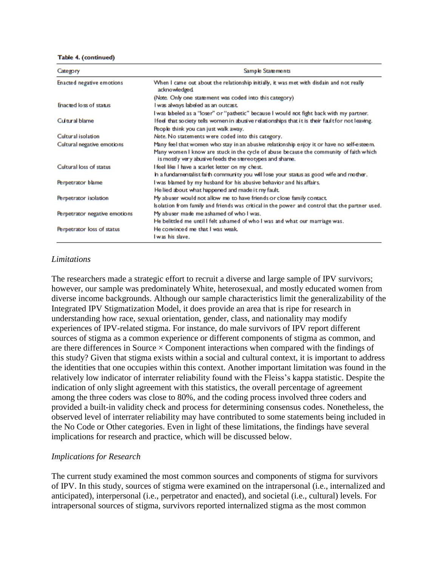Table 4. (continued)

| Category                      | Sample Statements                                                                                                                                 |
|-------------------------------|---------------------------------------------------------------------------------------------------------------------------------------------------|
| Enacted negative emotions     | When I came out about the relationship initially, it was met with disdain and not really<br>acknowledged                                          |
|                               | (Note. Only one statement was coded into this category)                                                                                           |
| Enacted loss of status        | I was always labeled as an outcast.                                                                                                               |
|                               | I was labeled as a "loser" or "pathetic" because I would not fight back with my partner.                                                          |
| Cultural blame                | Ifeel that society tells women in abusive relationships that it is their fault for not leaving.                                                   |
|                               | People think you can just walk away.                                                                                                              |
| Cultural isolation            | Note. No statements were coded into this category.                                                                                                |
| Cultural negative emotions    | Many feel that women who stay in an abusive relationship enjoy it or have no self-esteem.                                                         |
|                               | Many women I know are stuck in the cycle of abuse because the community of faith which<br>is mostly very abusive feeds the stereotypes and shame. |
| Cultural loss of status       | I feel like I have a scarlet letter on my chest.                                                                                                  |
|                               | h a fundamentalist faith community you will lose your status as good wife and mother.                                                             |
| Perpetrator blame             | I was blamed by my husband for his abusive behavior and his affairs.                                                                              |
|                               | He lied about what happened and made it my fault.                                                                                                 |
| Perpetrator isolation         | My abuser would not allow me to have friends or close family contact.                                                                             |
|                               | Isolation from family and friends was critical in the power and control that the partner used.                                                    |
| Perpetrator negative emotions | My abuser made me ashamed of who I was.                                                                                                           |
|                               | He belittled me until I felt ashamed of who I was and what our marriage was.                                                                      |
| Perpetrator loss of status    | He convinced me that I was weak.                                                                                                                  |
|                               | I was his slave.                                                                                                                                  |

#### *Limitations*

The researchers made a strategic effort to recruit a diverse and large sample of IPV survivors; however, our sample was predominately White, heterosexual, and mostly educated women from diverse income backgrounds. Although our sample characteristics limit the generalizability of the Integrated IPV Stigmatization Model, it does provide an area that is ripe for research in understanding how race, sexual orientation, gender, class, and nationality may modify experiences of IPV-related stigma. For instance, do male survivors of IPV report different sources of stigma as a common experience or different components of stigma as common, and are there differences in Source  $\times$  Component interactions when compared with the findings of this study? Given that stigma exists within a social and cultural context, it is important to address the identities that one occupies within this context. Another important limitation was found in the relatively low indicator of interrater reliability found with the Fleiss's kappa statistic. Despite the indication of only slight agreement with this statistics, the overall percentage of agreement among the three coders was close to 80%, and the coding process involved three coders and provided a built-in validity check and process for determining consensus codes. Nonetheless, the observed level of interrater reliability may have contributed to some statements being included in the No Code or Other categories. Even in light of these limitations, the findings have several implications for research and practice, which will be discussed below.

### *Implications for Research*

The current study examined the most common sources and components of stigma for survivors of IPV. In this study, sources of stigma were examined on the intrapersonal (i.e., internalized and anticipated), interpersonal (i.e., perpetrator and enacted), and societal (i.e., cultural) levels. For intrapersonal sources of stigma, survivors reported internalized stigma as the most common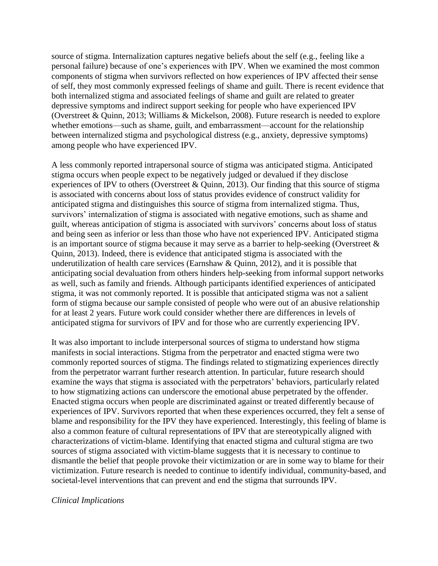source of stigma. Internalization captures negative beliefs about the self (e.g., feeling like a personal failure) because of one's experiences with IPV. When we examined the most common components of stigma when survivors reflected on how experiences of IPV affected their sense of self, they most commonly expressed feelings of shame and guilt. There is recent evidence that both internalized stigma and associated feelings of shame and guilt are related to greater depressive symptoms and indirect support seeking for people who have experienced IPV (Overstreet & Quinn, 2013; Williams & Mickelson, 2008). Future research is needed to explore whether emotions—such as shame, guilt, and embarrassment—account for the relationship between internalized stigma and psychological distress (e.g., anxiety, depressive symptoms) among people who have experienced IPV.

A less commonly reported intrapersonal source of stigma was anticipated stigma. Anticipated stigma occurs when people expect to be negatively judged or devalued if they disclose experiences of IPV to others (Overstreet & Quinn, 2013). Our finding that this source of stigma is associated with concerns about loss of status provides evidence of construct validity for anticipated stigma and distinguishes this source of stigma from internalized stigma. Thus, survivors' internalization of stigma is associated with negative emotions, such as shame and guilt, whereas anticipation of stigma is associated with survivors' concerns about loss of status and being seen as inferior or less than those who have not experienced IPV. Anticipated stigma is an important source of stigma because it may serve as a barrier to help-seeking (Overstreet & Quinn, 2013). Indeed, there is evidence that anticipated stigma is associated with the underutilization of health care services (Earnshaw & Quinn, 2012), and it is possible that anticipating social devaluation from others hinders help-seeking from informal support networks as well, such as family and friends. Although participants identified experiences of anticipated stigma, it was not commonly reported. It is possible that anticipated stigma was not a salient form of stigma because our sample consisted of people who were out of an abusive relationship for at least 2 years. Future work could consider whether there are differences in levels of anticipated stigma for survivors of IPV and for those who are currently experiencing IPV.

It was also important to include interpersonal sources of stigma to understand how stigma manifests in social interactions. Stigma from the perpetrator and enacted stigma were two commonly reported sources of stigma. The findings related to stigmatizing experiences directly from the perpetrator warrant further research attention. In particular, future research should examine the ways that stigma is associated with the perpetrators' behaviors, particularly related to how stigmatizing actions can underscore the emotional abuse perpetrated by the offender. Enacted stigma occurs when people are discriminated against or treated differently because of experiences of IPV. Survivors reported that when these experiences occurred, they felt a sense of blame and responsibility for the IPV they have experienced. Interestingly, this feeling of blame is also a common feature of cultural representations of IPV that are stereotypically aligned with characterizations of victim-blame. Identifying that enacted stigma and cultural stigma are two sources of stigma associated with victim-blame suggests that it is necessary to continue to dismantle the belief that people provoke their victimization or are in some way to blame for their victimization. Future research is needed to continue to identify individual, community-based, and societal-level interventions that can prevent and end the stigma that surrounds IPV.

#### *Clinical Implications*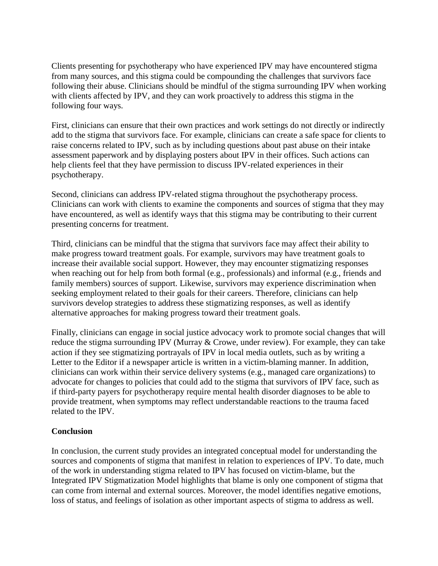Clients presenting for psychotherapy who have experienced IPV may have encountered stigma from many sources, and this stigma could be compounding the challenges that survivors face following their abuse. Clinicians should be mindful of the stigma surrounding IPV when working with clients affected by IPV, and they can work proactively to address this stigma in the following four ways.

First, clinicians can ensure that their own practices and work settings do not directly or indirectly add to the stigma that survivors face. For example, clinicians can create a safe space for clients to raise concerns related to IPV, such as by including questions about past abuse on their intake assessment paperwork and by displaying posters about IPV in their offices. Such actions can help clients feel that they have permission to discuss IPV-related experiences in their psychotherapy.

Second, clinicians can address IPV-related stigma throughout the psychotherapy process. Clinicians can work with clients to examine the components and sources of stigma that they may have encountered, as well as identify ways that this stigma may be contributing to their current presenting concerns for treatment.

Third, clinicians can be mindful that the stigma that survivors face may affect their ability to make progress toward treatment goals. For example, survivors may have treatment goals to increase their available social support. However, they may encounter stigmatizing responses when reaching out for help from both formal (e.g., professionals) and informal (e.g., friends and family members) sources of support. Likewise, survivors may experience discrimination when seeking employment related to their goals for their careers. Therefore, clinicians can help survivors develop strategies to address these stigmatizing responses, as well as identify alternative approaches for making progress toward their treatment goals.

Finally, clinicians can engage in social justice advocacy work to promote social changes that will reduce the stigma surrounding IPV (Murray & Crowe, under review). For example, they can take action if they see stigmatizing portrayals of IPV in local media outlets, such as by writing a Letter to the Editor if a newspaper article is written in a victim-blaming manner. In addition, clinicians can work within their service delivery systems (e.g., managed care organizations) to advocate for changes to policies that could add to the stigma that survivors of IPV face, such as if third-party payers for psychotherapy require mental health disorder diagnoses to be able to provide treatment, when symptoms may reflect understandable reactions to the trauma faced related to the IPV.

### **Conclusion**

In conclusion, the current study provides an integrated conceptual model for understanding the sources and components of stigma that manifest in relation to experiences of IPV. To date, much of the work in understanding stigma related to IPV has focused on victim-blame, but the Integrated IPV Stigmatization Model highlights that blame is only one component of stigma that can come from internal and external sources. Moreover, the model identifies negative emotions, loss of status, and feelings of isolation as other important aspects of stigma to address as well.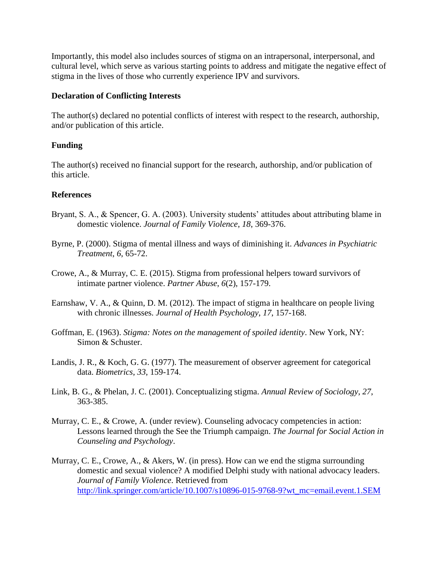Importantly, this model also includes sources of stigma on an intrapersonal, interpersonal, and cultural level, which serve as various starting points to address and mitigate the negative effect of stigma in the lives of those who currently experience IPV and survivors.

### **Declaration of Conflicting Interests**

The author(s) declared no potential conflicts of interest with respect to the research, authorship, and/or publication of this article.

# **Funding**

The author(s) received no financial support for the research, authorship, and/or publication of this article.

# **References**

- Bryant, S. A., & Spencer, G. A. (2003). University students' attitudes about attributing blame in domestic violence. *Journal of Family Violence*, *18*, 369-376.
- Byrne, P. (2000). Stigma of mental illness and ways of diminishing it. *Advances in Psychiatric Treatment*, *6*, 65-72.
- Crowe, A., & Murray, C. E. (2015). Stigma from professional helpers toward survivors of intimate partner violence. *Partner Abuse*, *6*(2), 157-179.
- Earnshaw, V. A., & Quinn, D. M. (2012). The impact of stigma in healthcare on people living with chronic illnesses. *Journal of Health Psychology*, *17*, 157-168.
- Goffman, E. (1963). *Stigma: Notes on the management of spoiled identity*. New York, NY: Simon & Schuster.
- Landis, J. R., & Koch, G. G. (1977). The measurement of observer agreement for categorical data. *Biometrics*, *33*, 159-174.
- Link, B. G., & Phelan, J. C. (2001). Conceptualizing stigma. *Annual Review of Sociology*, *27*, 363-385.
- Murray, C. E., & Crowe, A. (under review). Counseling advocacy competencies in action: Lessons learned through the See the Triumph campaign. *The Journal for Social Action in Counseling and Psychology*.
- Murray, C. E., Crowe, A., & Akers, W. (in press). How can we end the stigma surrounding domestic and sexual violence? A modified Delphi study with national advocacy leaders. *Journal of Family Violence*. Retrieved from [http://link.springer.com/article/10.1007/s10896-015-9768-9?wt\\_mc=email.event.1.SEM](http://link.springer.com/article/10.1007/s10896-015-9768-9?wt_mc=email.event.1.SEM)